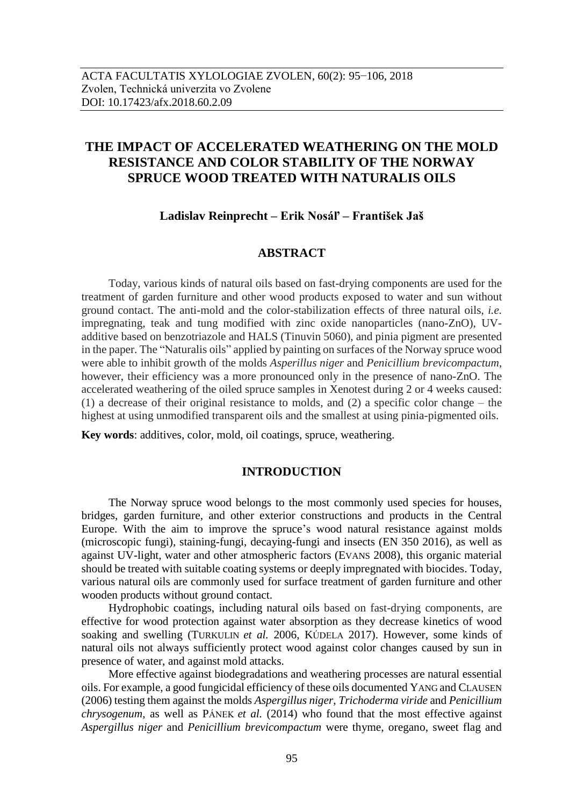# **THE IMPACT OF ACCELERATED WEATHERING ON THE MOLD RESISTANCE AND COLOR STABILITY OF THE NORWAY SPRUCE WOOD TREATED WITH NATURALIS OILS**

### **Ladislav Reinprecht – Erik Nosáľ – František Jaš**

## **ABSTRACT**

Today, various kinds of natural oils based on fast-drying components are used for the treatment of garden furniture and other wood products exposed to water and sun without ground contact. The anti-mold and the color-stabilization effects of three natural oils, *i.e.* impregnating, teak and tung modified with zinc oxide nanoparticles (nano-ZnO), UVadditive based on benzotriazole and HALS (Tinuvin 5060), and pinia pigment are presented in the paper. The "Naturalis oils" applied by painting on surfaces of the Norway spruce wood were able to inhibit growth of the molds *Asperillus niger* and *Penicillium brevicompactum*, however, their efficiency was a more pronounced only in the presence of nano-ZnO. The accelerated weathering of the oiled spruce samples in Xenotest during 2 or 4 weeks caused: (1) a decrease of their original resistance to molds, and (2) a specific color change – the highest at using unmodified transparent oils and the smallest at using pinia-pigmented oils.

**Key words**: additives, color, mold, oil coatings, spruce, weathering.

## **INTRODUCTION**

The Norway spruce wood belongs to the most commonly used species for houses, bridges, garden furniture, and other exterior constructions and products in the Central Europe. With the aim to improve the spruce's wood natural resistance against molds (microscopic fungi), staining-fungi, decaying-fungi and insects (EN 350 2016), as well as against UV-light, water and other atmospheric factors (EVANS 2008), this organic material should be treated with suitable coating systems or deeply impregnated with biocides. Today, various natural oils are commonly used for surface treatment of garden furniture and other wooden products without ground contact.

Hydrophobic coatings, including natural oils based on fast-drying components, are effective for wood protection against water absorption as they decrease kinetics of wood soaking and swelling (TURKULIN *et al.* 2006, KÚDELA 2017). However, some kinds of natural oils not always sufficiently protect wood against color changes caused by sun in presence of water, and against mold attacks.

More effective against biodegradations and weathering processes are natural essential oils. For example, a good fungicidal efficiency of these oils documented YANG and CLAUSEN (2006) testing them against the molds *Aspergillus niger*, *Trichoderma viride* and *Penicillium chrysogenum*, as well as PÁNEK *et al.* (2014) who found that the most effective against *Aspergillus niger* and *Penicillium brevicompactum* were thyme, oregano, sweet flag and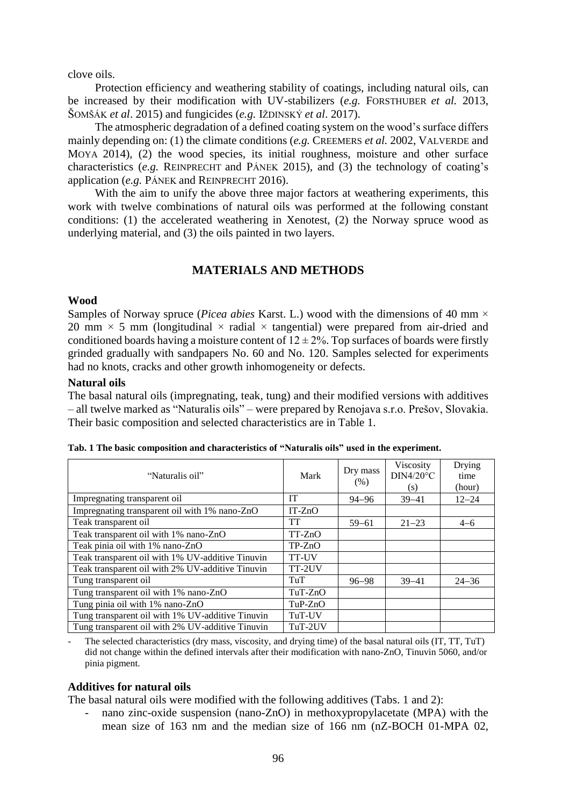clove oils.

Protection efficiency and weathering stability of coatings, including natural oils, can be increased by their modification with UV-stabilizers (*e.g.* FORSTHUBER *et al.* 2013, ŠOMŠÁK *et al*. 2015) and fungicides (*e.g.* IŽDINSKÝ *et al*. 2017).

The atmospheric degradation of a defined coating system on the wood's surface differs mainly depending on: (1) the climate conditions (*e.g.* CREEMERS *et al.* 2002, VALVERDE and MOYA 2014), (2) the wood species, its initial roughness, moisture and other surface characteristics (*e.g.* REINPRECHT and PÁNEK 2015), and (3) the technology of coating's application (*e.g.* PÁNEK and REINPRECHT 2016).

With the aim to unify the above three major factors at weathering experiments, this work with twelve combinations of natural oils was performed at the following constant conditions: (1) the accelerated weathering in Xenotest, (2) the Norway spruce wood as underlying material, and (3) the oils painted in two layers.

# **MATERIALS AND METHODS**

#### **Wood**

Samples of Norway spruce (*Picea abies* Karst. L.) wood with the dimensions of 40 mm × 20 mm  $\times$  5 mm (longitudinal  $\times$  radial  $\times$  tangential) were prepared from air-dried and conditioned boards having a moisture content of  $12 \pm 2\%$ . Top surfaces of boards were firstly grinded gradually with sandpapers No. 60 and No. 120. Samples selected for experiments had no knots, cracks and other growth inhomogeneity or defects.

#### **Natural oils**

The basal natural oils (impregnating, teak, tung) and their modified versions with additives – all twelve marked as "Naturalis oils" – were prepared by Renojava s.r.o. Prešov, Slovakia. Their basic composition and selected characteristics are in Table 1.

| "Naturalis oil"                                  | Mark      | Dry mass<br>(% ) | Viscosity<br>$DIN4/20^{\circ}C$<br>(s) | Drying<br>time<br>(hour) |
|--------------------------------------------------|-----------|------------------|----------------------------------------|--------------------------|
| Impregnating transparent oil                     | <b>IT</b> | $94 - 96$        | $39 - 41$                              | $12 - 24$                |
| Impregnating transparent oil with 1% nano-ZnO    | $IT-ZnO$  |                  |                                        |                          |
| Teak transparent oil                             | TT        | $59 - 61$        | $21 - 23$                              | $4 - 6$                  |
| Teak transparent oil with 1% nano-ZnO            | $TT-ZnO$  |                  |                                        |                          |
| Teak pinia oil with 1% nano-ZnO                  | $TP-ZnO$  |                  |                                        |                          |
| Teak transparent oil with 1% UV-additive Tinuvin | TT-UV     |                  |                                        |                          |
| Teak transparent oil with 2% UV-additive Tinuvin | TT-2UV    |                  |                                        |                          |
| Tung transparent oil                             | TuT       | $96 - 98$        | $39 - 41$                              | $24 - 36$                |
| Tung transparent oil with 1% nano-ZnO            | $TuT-ZnO$ |                  |                                        |                          |
| Tung pinia oil with 1% nano-ZnO                  | $TuP-ZnO$ |                  |                                        |                          |
| Tung transparent oil with 1% UV-additive Tinuvin | TuT-UV    |                  |                                        |                          |
| Tung transparent oil with 2% UV-additive Tinuvin | TuT-2UV   |                  |                                        |                          |

| Tab. 1 The basic composition and characteristics of "Naturalis oils" used in the experiment. |  |
|----------------------------------------------------------------------------------------------|--|
|----------------------------------------------------------------------------------------------|--|

The selected characteristics (dry mass, viscosity, and drying time) of the basal natural oils (IT, TT, TuT) did not change within the defined intervals after their modification with nano-ZnO, Tinuvin 5060, and/or pinia pigment.

### **Additives for natural oils**

The basal natural oils were modified with the following additives (Tabs. 1 and 2):

nano zinc-oxide suspension (nano-ZnO) in methoxypropylacetate (MPA) with the mean size of 163 nm and the median size of 166 nm (nZ-BOCH 01-MPA 02,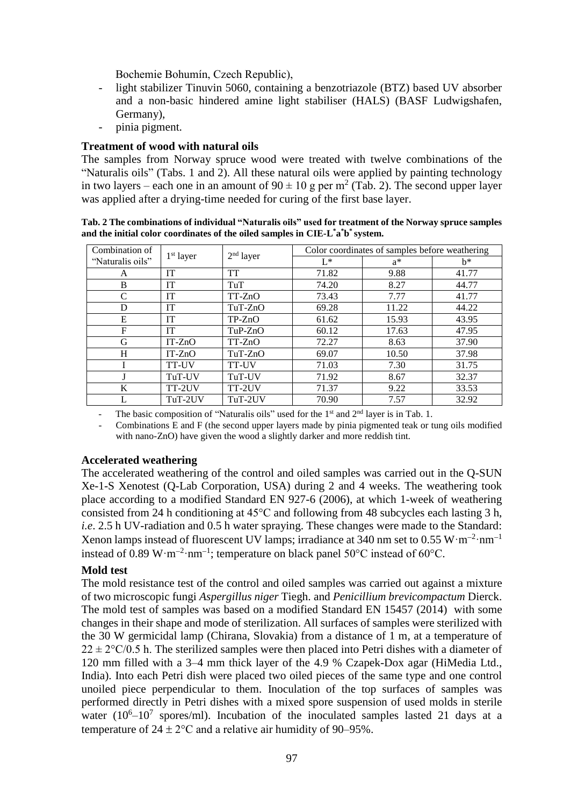Bochemie Bohumín, Czech Republic),

- light stabilizer Tinuvin 5060, containing a benzotriazole (BTZ) based UV absorber and a non-basic hindered amine light stabiliser (HALS) (BASF Ludwigshafen, Germany),
- pinia pigment.

# **Treatment of wood with natural oils**

The samples from Norway spruce wood were treated with twelve combinations of the "Naturalis oils" (Tabs. 1 and 2). All these natural oils were applied by painting technology in two layers – each one in an amount of  $90 \pm 10$  g per m<sup>2</sup> (Tab. 2). The second upper layer was applied after a drying-time needed for curing of the first base layer.

| Combination of   |             | $2nd$ layer | Color coordinates of samples before weathering |       |       |
|------------------|-------------|-------------|------------------------------------------------|-------|-------|
| "Naturalis oils" | $1st$ layer |             | $L^*$                                          | $a^*$ | $h^*$ |
| A                | <b>IT</b>   | <b>TT</b>   | 71.82                                          | 9.88  | 41.77 |
| B                | IT          | TuT         | 74.20                                          | 8.27  | 44.77 |
| C                | <b>IT</b>   | $TT-ZnO$    | 73.43                                          | 7.77  | 41.77 |
| D                | IT          | TuT-ZnO     | 69.28                                          | 11.22 | 44.22 |
| E                | <b>IT</b>   | $TP-ZnO$    | 61.62                                          | 15.93 | 43.95 |
| F                | <b>IT</b>   | $TuP-ZnO$   | 60.12                                          | 17.63 | 47.95 |
| G                | $IT-ZnO$    | $TT-ZnO$    | 72.27                                          | 8.63  | 37.90 |
| H                | $IT-ZnO$    | $TuT-ZnO$   | 69.07                                          | 10.50 | 37.98 |
|                  | TT-UV       | TT-UV       | 71.03                                          | 7.30  | 31.75 |
|                  | TuT-UV      | TuT-UV      | 71.92                                          | 8.67  | 32.37 |
| K                | TT-2UV      | TT-2UV      | 71.37                                          | 9.22  | 33.53 |
|                  | TuT-2UV     | TuT-2UV     | 70.90                                          | 7.57  | 32.92 |

**Tab. 2 The combinations of individual "Naturalis oils" used for treatment of the Norway spruce samples and the initial color coordinates of the oiled samples in CIE-L \*a \*b \* system.**

The basic composition of "Naturalis oils" used for the  $1<sup>st</sup>$  and  $2<sup>nd</sup>$  layer is in Tab. 1.

- Combinations E and F (the second upper layers made by pinia pigmented teak or tung oils modified with nano-ZnO) have given the wood a slightly darker and more reddish tint.

### **Accelerated weathering**

The accelerated weathering of the control and oiled samples was carried out in the Q-SUN Xe-1-S Xenotest (Q-Lab Corporation, USA) during 2 and 4 weeks. The weathering took place according to a modified Standard EN 927-6 (2006), at which 1-week of weathering consisted from 24 h conditioning at 45°C and following from 48 subcycles each lasting 3 h, *i.e*. 2.5 h UV-radiation and 0.5 h water spraying. These changes were made to the Standard: Xenon lamps instead of fluorescent UV lamps; irradiance at 340 nm set to  $0.55 \text{ W} \cdot \text{m}^{-2} \cdot \text{nm}^{-1}$ instead of 0.89 W·m<sup>-2</sup>·nm<sup>-1</sup>; temperature on black panel 50°C instead of 60°C.

### **Mold test**

The mold resistance test of the control and oiled samples was carried out against a mixture of two microscopic fungi *Aspergillus niger* Tiegh. and *Penicillium brevicompactum* Dierck. The mold test of samples was based on a modified Standard EN 15457 (2014) with some changes in their shape and mode of sterilization. All surfaces of samples were sterilized with the 30 W germicidal lamp (Chirana, Slovakia) from a distance of 1 m, at a temperature of  $22 \pm 2\degree$ C/0.5 h. The sterilized samples were then placed into Petri dishes with a diameter of 120 mm filled with a 3–4 mm thick layer of the 4.9 % Czapek-Dox agar (HiMedia Ltd., India). Into each Petri dish were placed two oiled pieces of the same type and one control unoiled piece perpendicular to them. Inoculation of the top surfaces of samples was performed directly in Petri dishes with a mixed spore suspension of used molds in sterile water  $(10^6 - 10^7$  spores/ml). Incubation of the inoculated samples lasted 21 days at a temperature of  $24 \pm 2$ °C and a relative air humidity of 90–95%.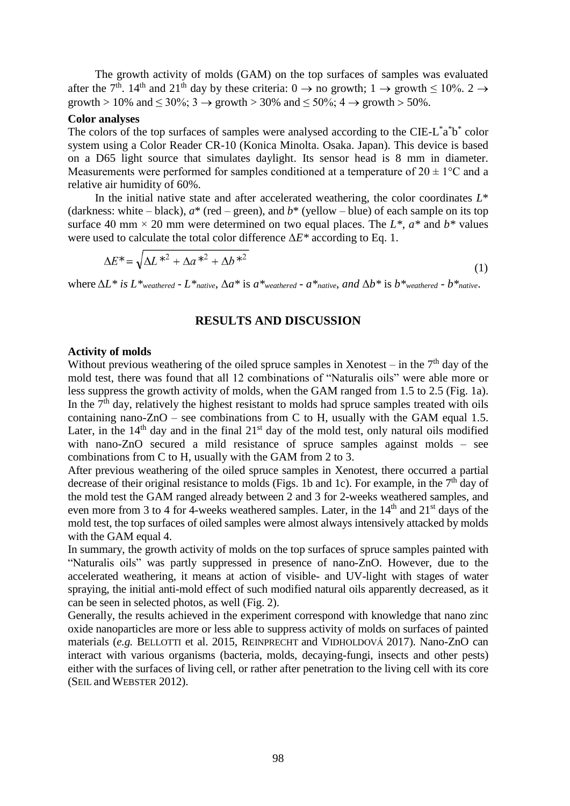The growth activity of molds (GAM) on the top surfaces of samples was evaluated after the 7<sup>th</sup>. 14<sup>th</sup> and 21<sup>th</sup> day by these criteria: 0  $\rightarrow$  no growth; 1  $\rightarrow$  growth  $\leq 10\%$ . 2  $\rightarrow$ growth > 10% and  $\leq 30\%$ ; 3  $\rightarrow$  growth > 30% and  $\leq 50\%$ ; 4  $\rightarrow$  growth > 50%.

#### **Color analyses**

The colors of the top surfaces of samples were analysed according to the CIE-L\*a\*b\* color system using a Color Reader CR-10 (Konica Minolta. Osaka. Japan). This device is based on a D65 light source that simulates daylight. Its sensor head is 8 mm in diameter. Measurements were performed for samples conditioned at a temperature of  $20 \pm 1$ °C and a relative air humidity of 60%.

In the initial native state and after accelerated weathering, the color coordinates  $L^*$ (darkness: white – black),  $a^*$  (red – green), and  $b^*$  (yellow – blue) of each sample on its top surface 40 mm  $\times$  20 mm were determined on two equal places. The *L*<sup>\*</sup>, *a*<sup>\*</sup> and *b*<sup>\*</sup> values were used to calculate the total color difference Δ*E\** according to Eq. 1.

$$
\Delta E^* = \sqrt{\Delta L^{*2} + \Delta a^{*2} + \Delta b^{*2}}
$$
\n<sup>(1)</sup>

where  $\Delta L^*$  *is*  $L^*$ <sub>*weathered* -  $L^*$ <sub>*native*,  $\Delta a^*$  *is*  $a^*$ <sub>*weathered* -  $a^*$ <sub>*native*, *and*  $\Delta b^*$  *is*  $b^*$ <sub>*weathered* -  $b^*$ <sub>*native*.</sub></sub></sub></sub></sub></sub>

### **RESULTS AND DISCUSSION**

#### **Activity of molds**

Without previous weathering of the oiled spruce samples in Xenotest – in the  $7<sup>th</sup>$  day of the mold test, there was found that all 12 combinations of "Naturalis oils" were able more or less suppress the growth activity of molds, when the GAM ranged from 1.5 to 2.5 (Fig. 1a). In the  $7<sup>th</sup>$  day, relatively the highest resistant to molds had spruce samples treated with oils containing nano-ZnO – see combinations from C to H, usually with the GAM equal 1.5. Later, in the  $14<sup>th</sup>$  day and in the final  $21<sup>st</sup>$  day of the mold test, only natural oils modified with nano-ZnO secured a mild resistance of spruce samples against molds – see combinations from C to H, usually with the GAM from 2 to 3.

After previous weathering of the oiled spruce samples in Xenotest, there occurred a partial decrease of their original resistance to molds (Figs. 1b and 1c). For example, in the  $7<sup>th</sup>$  day of the mold test the GAM ranged already between 2 and 3 for 2-weeks weathered samples, and even more from 3 to 4 for 4-weeks weathered samples. Later, in the  $14<sup>th</sup>$  and  $21<sup>st</sup>$  days of the mold test, the top surfaces of oiled samples were almost always intensively attacked by molds with the GAM equal 4.

In summary, the growth activity of molds on the top surfaces of spruce samples painted with "Naturalis oils" was partly suppressed in presence of nano-ZnO. However, due to the accelerated weathering, it means at action of visible- and UV-light with stages of water spraying, the initial anti-mold effect of such modified natural oils apparently decreased, as it can be seen in selected photos, as well (Fig. 2).

Generally, the results achieved in the experiment correspond with knowledge that nano zinc oxide nanoparticles are more or less able to suppress activity of molds on surfaces of painted materials (*e.g.* BELLOTTI et al. 2015, REINPRECHT and VIDHOLDOVÁ 2017). Nano-ZnO can interact with various organisms (bacteria, molds, decaying-fungi, insects and other pests) either with the surfaces of living cell, or rather after penetration to the living cell with its core (SEIL and WEBSTER 2012).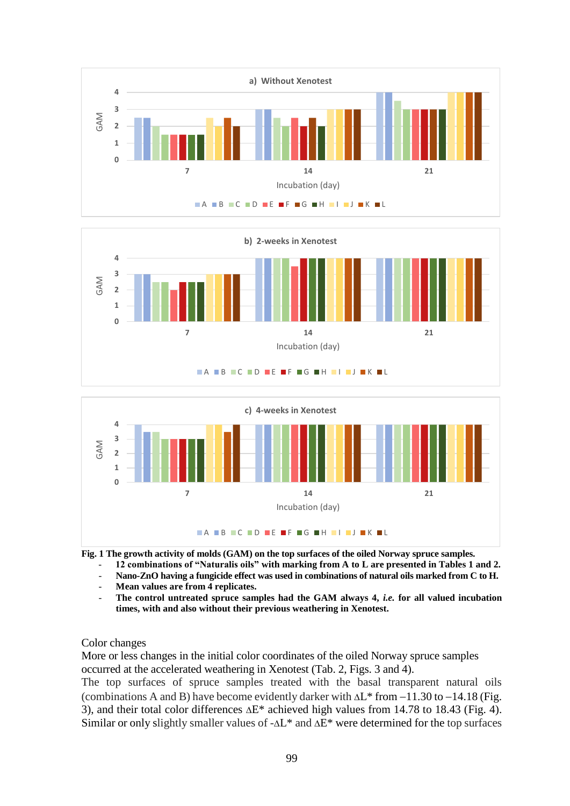





**Fig. 1 The growth activity of molds (GAM) on the top surfaces of the oiled Norway spruce samples.** 

- **12 combinations of "Naturalis oils" with marking from A to L are presented in Tables 1 and 2.**
- Nano-ZnO having a fungicide effect was used in combinations of natural oils marked from C to H.
- **Mean values are from 4 replicates.**
- **The control untreated spruce samples had the GAM always 4,** *i.e.* **for all valued incubation times, with and also without their previous weathering in Xenotest.**

### Color changes

More or less changes in the initial color coordinates of the oiled Norway spruce samples occurred at the accelerated weathering in Xenotest (Tab. 2, Figs. 3 and 4).

The top surfaces of spruce samples treated with the basal transparent natural oils (combinations A and B) have become evidently darker with  $\Delta L^*$  from  $-11.30$  to  $-14.18$  (Fig. 3), and their total color differences  $\Delta E^*$  achieved high values from 14.78 to 18.43 (Fig. 4). Similar or only slightly smaller values of  $-\Delta L^*$  and  $\Delta E^*$  were determined for the top surfaces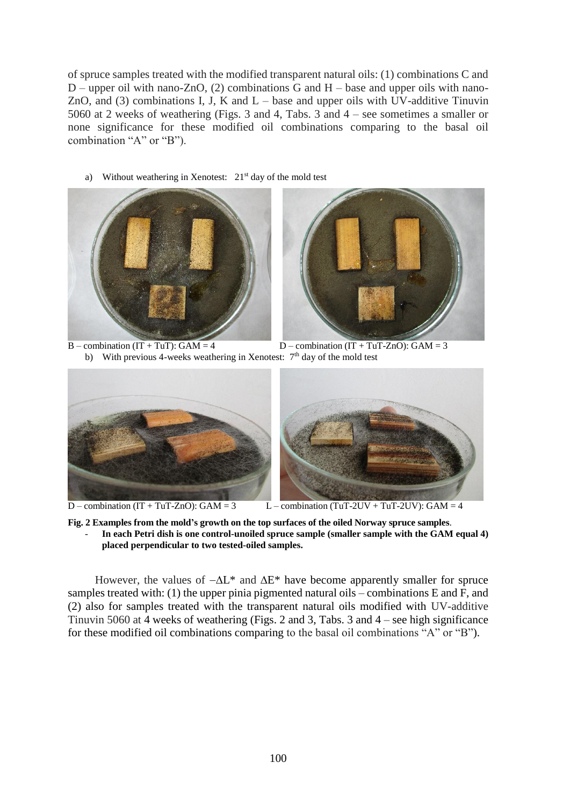of spruce samples treated with the modified transparent natural oils: (1) combinations C and  $D$  – upper oil with nano-ZnO, (2) combinations G and H – base and upper oils with nano-ZnO, and  $(3)$  combinations I, J, K and L – base and upper oils with UV-additive Tinuvin 5060 at 2 weeks of weathering (Figs. 3 and 4, Tabs. 3 and 4 – see sometimes a smaller or none significance for these modified oil combinations comparing to the basal oil combination "A" or "B").

a) Without weathering in Xenotest: 21<sup>st</sup> day of the mold test





 $B$  – combination (IT + TuT): GAM = 4  $D$  – combination (IT + TuT-ZnO): GAM = 3 b) With previous 4-weeks weathering in Xenotest: 7<sup>th</sup> day of the mold test



 $D$  – combination  $(IT + TuT-ZnO)$ : GAM = 3  $L$  – combination  $(TuT-2UV + TuT-2UV)$ : GAM = 4

**Fig. 2 Examples from the mold's growth on the top surfaces of the oiled Norway spruce samples**. - **In each Petri dish is one control-unoiled spruce sample (smaller sample with the GAM equal 4) placed perpendicular to two tested-oiled samples.** 

However, the values of  $-\Delta L^*$  and  $\Delta E^*$  have become apparently smaller for spruce samples treated with: (1) the upper pinia pigmented natural oils – combinations E and F, and (2) also for samples treated with the transparent natural oils modified with UV-additive Tinuvin 5060 at 4 weeks of weathering (Figs. 2 and 3, Tabs. 3 and 4 – see high significance for these modified oil combinations comparing to the basal oil combinations "A" or "B").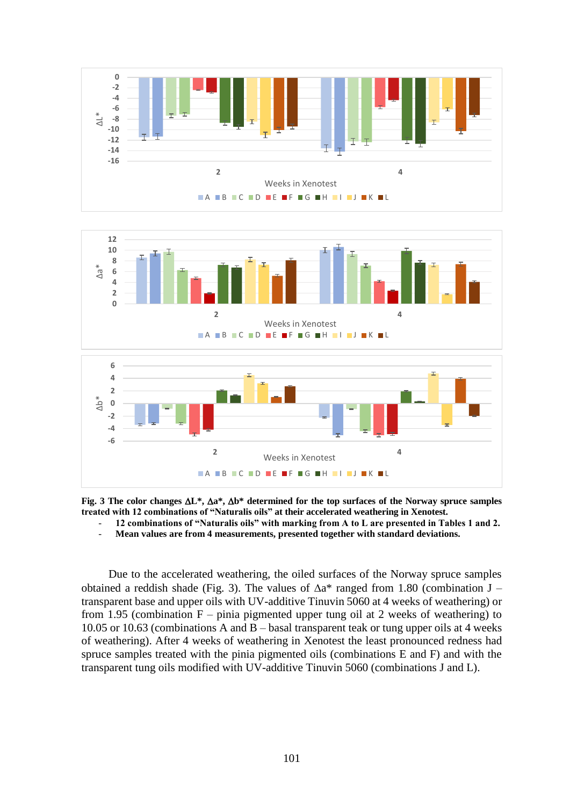



**Fig. 3** The color changes  $\Delta L^*$ ,  $\Delta a^*$ ,  $\Delta b^*$  determined for the top surfaces of the Norway spruce samples **treated with 12 combinations of "Naturalis oils" at their accelerated weathering in Xenotest.** 

- **12 combinations of "Naturalis oils" with marking from A to L are presented in Tables 1 and 2.**
- **Mean values are from 4 measurements, presented together with standard deviations.**

Due to the accelerated weathering, the oiled surfaces of the Norway spruce samples obtained a reddish shade (Fig. 3). The values of  $\Delta a^*$  ranged from 1.80 (combination J – transparent base and upper oils with UV-additive Tinuvin 5060 at 4 weeks of weathering) or from 1.95 (combination  $F$  – pinia pigmented upper tung oil at 2 weeks of weathering) to 10.05 or 10.63 (combinations A and B – basal transparent teak or tung upper oils at 4 weeks of weathering). After 4 weeks of weathering in Xenotest the least pronounced redness had spruce samples treated with the pinia pigmented oils (combinations E and F) and with the transparent tung oils modified with UV-additive Tinuvin 5060 (combinations J and L).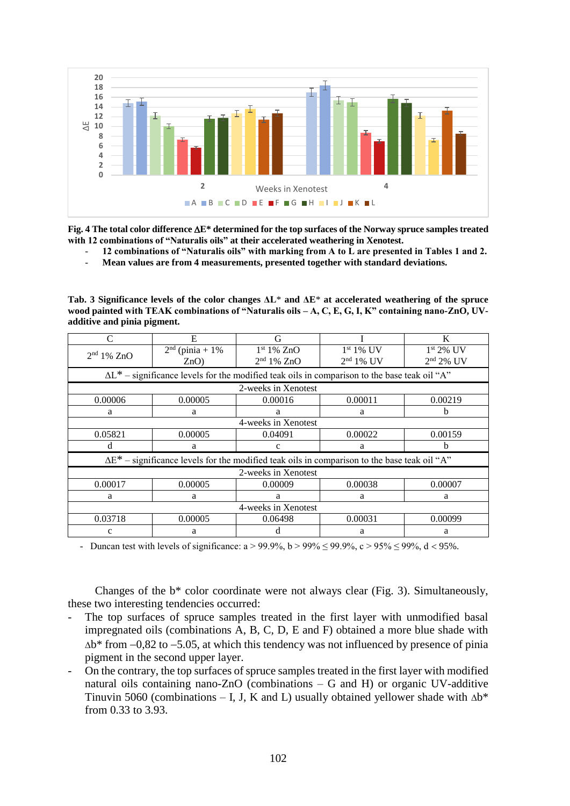

**Fig. 4 The total color difference E\* determined for the top surfaces of the Norway spruce samples treated with 12 combinations of "Naturalis oils" at their accelerated weathering in Xenotest.** 

- **12 combinations of "Naturalis oils" with marking from A to L are presented in Tables 1 and 2.**
- **Mean values are from 4 measurements, presented together with standard deviations.**

**Tab. 3 Significance levels of the color changes ΔL**\* **and ΔE**\* **at accelerated weathering of the spruce wood painted with TEAK combinations of "Naturalis oils – A, C, E, G, I, K" containing nano-ZnO, UVadditive and pinia pigment.**

| C                                                                                                    | E                                                                                                    | G                      |             | K           |  |  |  |
|------------------------------------------------------------------------------------------------------|------------------------------------------------------------------------------------------------------|------------------------|-------------|-------------|--|--|--|
| 2 <sup>nd</sup> 1% ZnO                                                                               | $2nd$ (pinia + 1%)                                                                                   | 1 <sup>st</sup> 1% ZnO | $1st 1%$ UV | $1st 2%$ UV |  |  |  |
|                                                                                                      | ZnO                                                                                                  | 2 <sup>nd</sup> 1% ZnO | $2nd 1%$ UV | $2nd 2%$ UV |  |  |  |
|                                                                                                      | $\Delta L^*$ – significance levels for the modified teak oils in comparison to the base teak oil "A" |                        |             |             |  |  |  |
|                                                                                                      |                                                                                                      | 2-weeks in Xenotest    |             |             |  |  |  |
| 0.00006                                                                                              | 0.00005                                                                                              | 0.00016<br>0.00011     |             | 0.00219     |  |  |  |
| a                                                                                                    | a                                                                                                    | a<br>a                 |             | h           |  |  |  |
|                                                                                                      | 4-weeks in Xenotest                                                                                  |                        |             |             |  |  |  |
| 0.05821                                                                                              | 0.00005                                                                                              | 0.04091                | 0.00022     | 0.00159     |  |  |  |
| d                                                                                                    | a                                                                                                    | c<br>a                 |             | b.          |  |  |  |
| $\Delta E^*$ – significance levels for the modified teak oils in comparison to the base teak oil "A" |                                                                                                      |                        |             |             |  |  |  |
| 2-weeks in Xenotest                                                                                  |                                                                                                      |                        |             |             |  |  |  |
| 0.00017                                                                                              | 0.00005                                                                                              | 0.00009                | 0.00038     | 0.00007     |  |  |  |
| a                                                                                                    | a                                                                                                    | a                      | a           | a           |  |  |  |
| 4-weeks in Xenotest                                                                                  |                                                                                                      |                        |             |             |  |  |  |
| 0.03718                                                                                              | 0.00005                                                                                              | 0.06498                | 0.00031     | 0.00099     |  |  |  |
| $\mathbf c$                                                                                          | a                                                                                                    | d                      | a           | a           |  |  |  |

- Duncan test with levels of significance:  $a > 99.9\%$ ,  $b > 99\% \le 99.9\%$ ,  $c > 95\% \le 99\%$ ,  $d < 95\%$ .

Changes of the b\* color coordinate were not always clear (Fig. 3). Simultaneously, these two interesting tendencies occurred:

- The top surfaces of spruce samples treated in the first layer with unmodified basal impregnated oils (combinations A, B, C, D, E and F) obtained a more blue shade with  $\Delta b^*$  from  $-0.82$  to  $-5.05$ , at which this tendency was not influenced by presence of pinia pigment in the second upper layer.
- On the contrary, the top surfaces of spruce samples treated in the first layer with modified natural oils containing nano-ZnO (combinations – G and H) or organic UV-additive Tinuvin 5060 (combinations – I, J, K and L) usually obtained yellower shade with  $\Delta b^*$ from 0.33 to 3.93.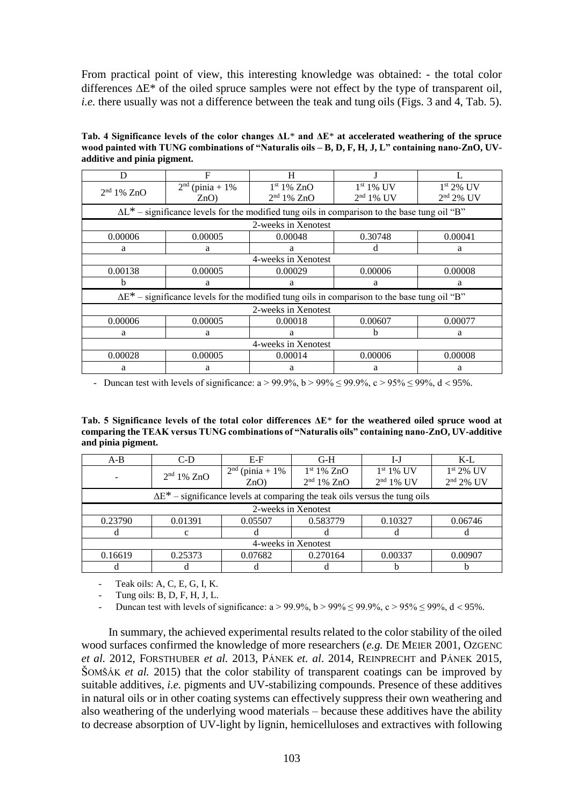From practical point of view, this interesting knowledge was obtained: - the total color differences  $\Delta E^*$  of the oiled spruce samples were not effect by the type of transparent oil, *i.e.* there usually was not a difference between the teak and tung oils (Figs. 3 and 4, Tab. 5).

**Tab. 4 Significance levels of the color changes ΔL**\* **and ΔE**\* **at accelerated weathering of the spruce wood painted with TUNG combinations of "Naturalis oils – B, D, F, H, J, L" containing nano-ZnO, UVadditive and pinia pigment.** 

| D                      | F                                                                                                    | H                      |             |             |  |  |  |
|------------------------|------------------------------------------------------------------------------------------------------|------------------------|-------------|-------------|--|--|--|
| 2 <sup>nd</sup> 1% ZnO | $2nd$ (pinia + 1%)                                                                                   | 1 <sup>st</sup> 1% ZnO | $1st 1%$ UV | $1st 2%$ UV |  |  |  |
|                        | ZnO                                                                                                  | 2 <sup>nd</sup> 1% ZnO | $2nd 1%$ UV | $2nd 2%$ UV |  |  |  |
|                        | $\Delta L^*$ – significance levels for the modified tung oils in comparison to the base tung oil "B" |                        |             |             |  |  |  |
|                        |                                                                                                      | 2-weeks in Xenotest    |             |             |  |  |  |
| 0.00006                | 0.00005                                                                                              | 0.00048<br>0.30748     |             | 0.00041     |  |  |  |
| a                      | a                                                                                                    | d<br>a                 |             | a           |  |  |  |
|                        | 4-weeks in Xenotest                                                                                  |                        |             |             |  |  |  |
| 0.00138                | 0.00005                                                                                              | 0.00029                | 0.00006     | 0.00008     |  |  |  |
| b                      | a                                                                                                    | a                      | a           | a           |  |  |  |
|                        | $\Delta E^*$ – significance levels for the modified tung oils in comparison to the base tung oil "B" |                        |             |             |  |  |  |
| 2-weeks in Xenotest    |                                                                                                      |                        |             |             |  |  |  |
| 0.00006                | 0.00005                                                                                              | 0.00018                | 0.00607     | 0.00077     |  |  |  |
| a                      | a                                                                                                    | a                      | h           | a           |  |  |  |
| 4-weeks in Xenotest    |                                                                                                      |                        |             |             |  |  |  |
| 0.00028                | 0.00005                                                                                              | 0.00014                | 0.00006     | 0.00008     |  |  |  |
| a                      | a                                                                                                    | a                      | a           | a           |  |  |  |

- Duncan test with levels of significance:  $a > 99.9\%$ ,  $b > 99\% \le 99.9\%$ ,  $c > 95\% \le 99\%$ ,  $d < 95\%$ .

**Tab. 5 Significance levels of the total color differences ΔE**\* **for the weathered oiled spruce wood at comparing the TEAK versus TUNG combinations of "Naturalis oils" containing nano-ZnO, UV-additive and pinia pigment.** 

| $A-B$               | $C-D$                                                                              | $E-F$                     | $G-H$                                            | I-J                        | $K-L$                      |  |
|---------------------|------------------------------------------------------------------------------------|---------------------------|--------------------------------------------------|----------------------------|----------------------------|--|
| -                   | 2 <sup>nd</sup> 1% ZnO                                                             | $2nd$ (pinia + 1%)<br>ZnO | 1 <sup>st</sup> 1% ZnO<br>2 <sup>nd</sup> 1% ZnO | $1st 1%$ UV<br>$2nd 1%$ UV | $1st 2%$ UV<br>$2nd 2%$ UV |  |
|                     | $\Delta E^*$ – significance levels at comparing the teak oils versus the tung oils |                           |                                                  |                            |                            |  |
| 2-weeks in Xenotest |                                                                                    |                           |                                                  |                            |                            |  |
| 0.23790             | 0.01391                                                                            | 0.05507                   | 0.583779                                         | 0.10327                    | 0.06746                    |  |
| <sub>0</sub>        | c                                                                                  |                           |                                                  |                            |                            |  |
| 4-weeks in Xenotest |                                                                                    |                           |                                                  |                            |                            |  |
| 0.16619             | 0.25373                                                                            | 0.07682                   | 0.270164                                         | 0.00337                    | 0.00907                    |  |
|                     |                                                                                    |                           |                                                  |                            |                            |  |

Teak oils: A, C, E, G, I, K.

Tung oils: B, D, F, H, J, L.

Duncan test with levels of significance:  $a > 99.9\%$ ,  $b > 99\% \le 99.9\%$ ,  $c > 95\% \le 99\%$ ,  $d < 95\%$ .

In summary, the achieved experimental results related to the color stability of the oiled wood surfaces confirmed the knowledge of more researchers (*e.g.* DE MEIER 2001, OZGENC *et al.* 2012, FORSTHUBER *et al.* 2013, PÁNEK *et. al*. 2014, REINPRECHT and PÁNEK 2015, ŠOMŠÁK *et al.* 2015) that the color stability of transparent coatings can be improved by suitable additives, *i.e.* pigments and UV-stabilizing compounds. Presence of these additives in natural oils or in other coating systems can effectively suppress their own weathering and also weathering of the underlying wood materials – because these additives have the ability to decrease absorption of UV-light by lignin, hemicelluloses and extractives with following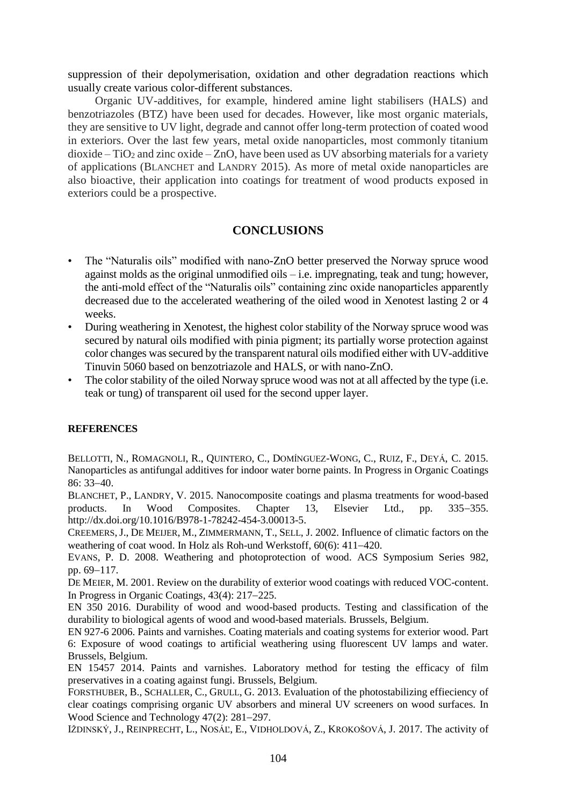suppression of their depolymerisation, oxidation and other degradation reactions which usually create various color-different substances.

Organic UV-additives, for example, hindered amine light stabilisers (HALS) and benzotriazoles (BTZ) have been used for decades. However, like most organic materials, they are sensitive to UV light, degrade and cannot offer long-term protection of coated wood in exteriors. Over the last few years, metal oxide nanoparticles, most commonly titanium  $dioxide - TiO<sub>2</sub>$  and zinc oxide – ZnO, have been used as UV absorbing materials for a variety of applications (BLANCHET and LANDRY 2015). As more of metal oxide nanoparticles are also bioactive, their application into coatings for treatment of wood products exposed in exteriors could be a prospective.

# **CONCLUSIONS**

- The "Naturalis oils" modified with nano-ZnO better preserved the Norway spruce wood against molds as the original unmodified oils – i.e. impregnating, teak and tung; however, the anti-mold effect of the "Naturalis oils" containing zinc oxide nanoparticles apparently decreased due to the accelerated weathering of the oiled wood in Xenotest lasting 2 or 4 weeks.
- During weathering in Xenotest, the highest color stability of the Norway spruce wood was secured by natural oils modified with pinia pigment; its partially worse protection against color changes was secured by the transparent natural oils modified either with UV-additive Tinuvin 5060 based on benzotriazole and HALS, or with nano-ZnO.
- The color stability of the oiled Norway spruce wood was not at all affected by the type (i.e. teak or tung) of transparent oil used for the second upper layer.

#### **REFERENCES**

BELLOTTI, N., ROMAGNOLI, R., QUINTERO, C., DOMÍNGUEZ-WONG, C., RUIZ, F., DEYÁ, C. 2015. Nanoparticles as antifungal additives for indoor water borne paints. In Progress in Organic Coatings 86: 33-40.

BLANCHET, P., LANDRY, V. 2015. Nanocomposite coatings and plasma treatments for wood-based products. In Wood Composites. Chapter 13, Elsevier Ltd., pp. 335–355. http://dx.doi.org/10.1016/B978-1-78242-454-3.00013-5.

CREEMERS,J., DE MEIJER, M., ZIMMERMANN, T., SELL, J. 2002. Influence of climatic factors on the weathering of coat wood. In Holz als Roh-und Werkstoff,  $60(6)$ : 411–420.

EVANS, P. D. 2008. Weathering and photoprotection of wood. ACS Symposium Series 982, pp. 69-117.

DE MEIER, M. 2001. Review on the durability of exterior wood coatings with reduced VOC-content. In Progress in Organic Coatings,  $43(4)$ :  $217-225$ .

EN 350 2016. Durability of wood and wood-based products. Testing and classification of the durability to biological agents of wood and wood-based materials. Brussels, Belgium.

EN 927-6 2006. Paints and varnishes. Coating materials and coating systems for exterior wood. Part 6: Exposure of wood coatings to artificial weathering using fluorescent UV lamps and water. Brussels, Belgium.

EN 15457 2014. Paints and varnishes. Laboratory method for testing the efficacy of film preservatives in a coating against fungi. Brussels, Belgium.

FORSTHUBER, B., SCHALLER, C., GRULL, G. 2013. Evaluation of the photostabilizing effieciency of clear coatings comprising organic UV absorbers and mineral UV screeners on wood surfaces. In Wood Science and Technology  $47(2)$ :  $281-297$ .

IŽDINSKÝ, J., REINPRECHT, L., NOSÁĽ, E., VIDHOLDOVÁ, Z., KROKOŠOVÁ, J. 2017. The activity of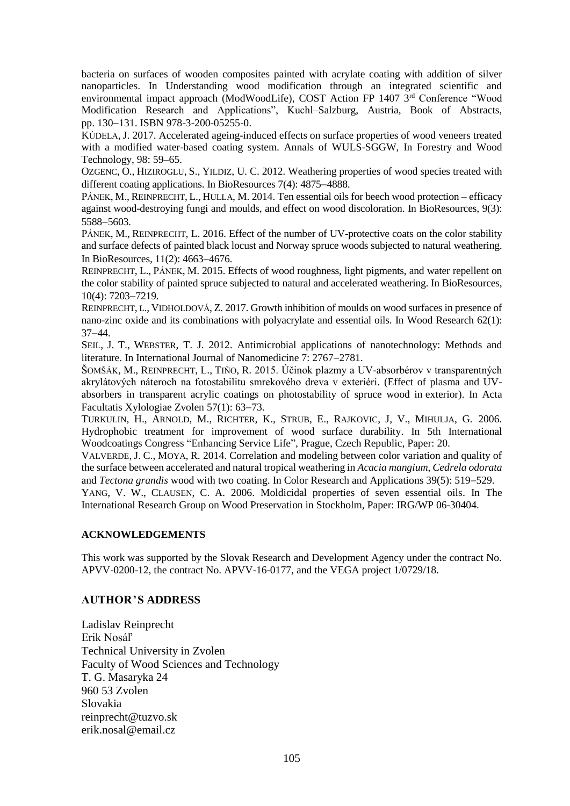bacteria on surfaces of wooden composites painted with acrylate coating with addition of silver nanoparticles. In Understanding wood modification through an integrated scientific and environmental impact approach (ModWoodLife), COST Action FP 1407 3rd Conference "Wood Modification Research and Applications", Kuchl–Salzburg, Austria, Book of Abstracts, pp. 130-131. ISBN 978-3-200-05255-0.

KÚDELA, J. 2017. Accelerated ageing-induced effects on surface properties of wood veneers treated with a modified water-based coating system. Annals of WULS-SGGW, In Forestry and Wood Technology, 98: 59–65.

OZGENC, O., HIZIROGLU, S., YILDIZ, U. C. 2012. Weathering properties of wood species treated with different coating applications. In BioResources  $7(4)$ : 4875–4888.

PÁNEK, M., REINPRECHT, L., HULLA, M. 2014. Ten essential oils for beech wood protection – efficacy against wood-destroying fungi and moulds, and effect on wood discoloration. In BioResources, 9(3): 5588-5603.

PÁNEK, M., REINPRECHT, L. 2016. Effect of the number of UV-protective coats on the color stability and surface defects of painted black locust and Norway spruce woods subjected to natural weathering. In BioResources,  $11(2)$ : 4663-4676.

REINPRECHT, L., PÁNEK, M. 2015. Effects of wood roughness, light pigments, and water repellent on the color stability of painted spruce subjected to natural and accelerated weathering. In BioResources, 10(4): 7203-7219.

REINPRECHT, L., VIDHOLDOVÁ, Z. 2017. Growth inhibition of moulds on wood surfaces in presence of nano-zinc oxide and its combinations with polyacrylate and essential oils. In Wood Research 62(1):  $37 - 44.$ 

SEIL, J. T., WEBSTER, T. J. 2012. Antimicrobial applications of nanotechnology: Methods and literature. In International Journal of Nanomedicine 7: 2767-2781.

ŠOMŠÁK, M., REINPRECHT, L., TIŇO, R. 2015. Účinok plazmy a UV-absorbérov v transparentných akrylátových náteroch na fotostabilitu smrekového dreva v exteriéri. (Effect of plasma and UVabsorbers in transparent acrylic coatings on photostability of spruce wood in exterior). In Acta Facultatis Xylologiae Zvolen 57(1): 63–73.

TURKULIN, H., ARNOLD, M., RICHTER, K., STRUB, E., RAJKOVIC, J, V., MIHULJA, G. 2006. Hydrophobic treatment for improvement of wood surface durability. In 5th International Woodcoatings Congress "Enhancing Service Life", Prague, Czech Republic, Paper: 20.

VALVERDE, J. C., MOYA, R. 2014. [Correlation and modeling between color variation and quality of](http://www.scopus.com/record/display.url?eid=2-s2.0-84905963545&origin=resultslist&sort=plf-f&src=s&st1=tropical+woods%2ccolour+changes&nlo=&nlr=&nls=&sid=12722B8ACECB94A42C281308A1316F15.euC1gMODexYlPkQec4u1Q%3a630&sot=b&sdt=b&sl=85&s=TITLE-ABS-KEY%28tropical+woods%2ccolour+changes%29+AND+DOCTYPE%28ar+OR+re%29+AND+PUBYEAR+%3e+1997&relpos=1&relpos=1&citeCnt=0&searchTerm=TITLE-ABS-KEY%28tropical+woods%2Ccolour+changes%29+AND+DOCTYPE%28ar+OR+re%29+AND+PUBYEAR+%26gt%3B+1997)  [the surface between accelerated and natural tropical weathering in](http://www.scopus.com/record/display.url?eid=2-s2.0-84905963545&origin=resultslist&sort=plf-f&src=s&st1=tropical+woods%2ccolour+changes&nlo=&nlr=&nls=&sid=12722B8ACECB94A42C281308A1316F15.euC1gMODexYlPkQec4u1Q%3a630&sot=b&sdt=b&sl=85&s=TITLE-ABS-KEY%28tropical+woods%2ccolour+changes%29+AND+DOCTYPE%28ar+OR+re%29+AND+PUBYEAR+%3e+1997&relpos=1&relpos=1&citeCnt=0&searchTerm=TITLE-ABS-KEY%28tropical+woods%2Ccolour+changes%29+AND+DOCTYPE%28ar+OR+re%29+AND+PUBYEAR+%26gt%3B+1997) *Acacia mangium*, *Cedrela odorata* and *Tectona grandis* [wood with two coating.](http://www.scopus.com/record/display.url?eid=2-s2.0-84905963545&origin=resultslist&sort=plf-f&src=s&st1=tropical+woods%2ccolour+changes&nlo=&nlr=&nls=&sid=12722B8ACECB94A42C281308A1316F15.euC1gMODexYlPkQec4u1Q%3a630&sot=b&sdt=b&sl=85&s=TITLE-ABS-KEY%28tropical+woods%2ccolour+changes%29+AND+DOCTYPE%28ar+OR+re%29+AND+PUBYEAR+%3e+1997&relpos=1&relpos=1&citeCnt=0&searchTerm=TITLE-ABS-KEY%28tropical+woods%2Ccolour+changes%29+AND+DOCTYPE%28ar+OR+re%29+AND+PUBYEAR+%26gt%3B+1997) In [Color Research and Applications](http://www.scopus.com/source/sourceInfo.url?sourceId=12891&origin=resultslist) 39(5): 519–529.

YANG, V. W., CLAUSEN, C. A. 2006. Moldicidal properties of seven essential oils. In The International Research Group on Wood Preservation in Stockholm, Paper: IRG/WP 06-30404.

### **ACKNOWLEDGEMENTS**

This work was supported by the Slovak Research and Development Agency under the contract No. APVV-0200-12, the contract No. APVV-16-0177, and the VEGA project 1/0729/18.

### **AUTHOR ̓ S ADDRESS**

Ladislav Reinprecht Erik Nosáľ Technical University in Zvolen Faculty of Wood Sciences and Technology T. G. Masaryka 24 960 53 Zvolen Slovakia reinprecht@tuzvo.sk erik.nosal@email.cz